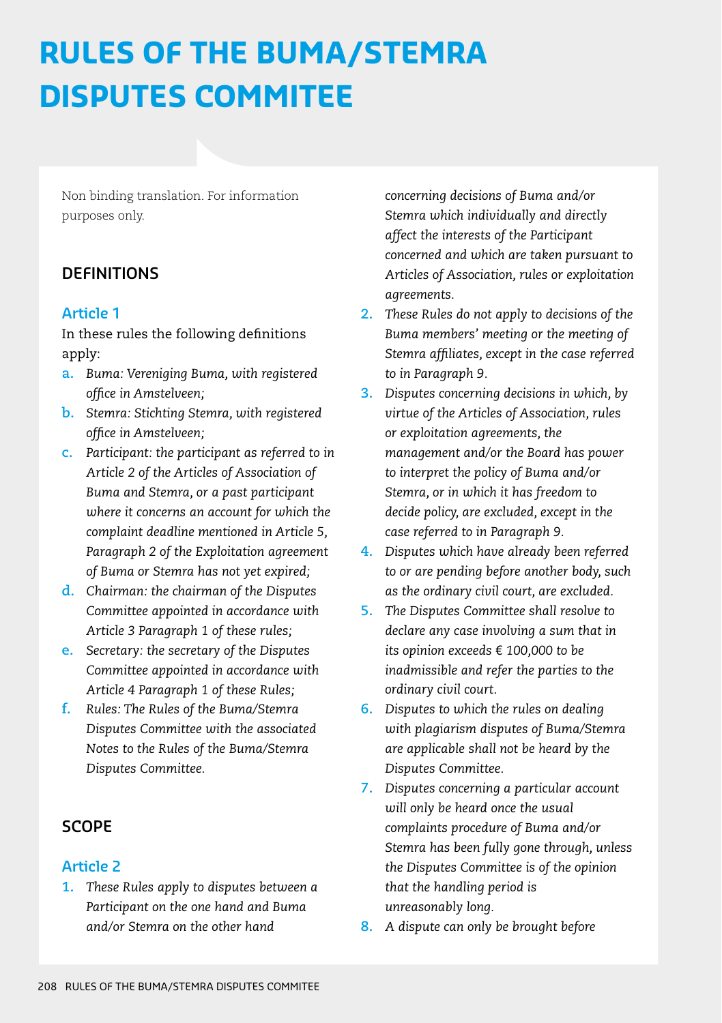# **RULES OF THE BUMA/STEMRA DISPUTES COMMITEE**

Non binding translation. For information purposes only.

## **DEFINITIONS**

#### **Article 1**

In these rules the following definitions apply:

- **a.** *Buma: Vereniging Buma, with registered office in Amstelveen;*
- **b.** *Stemra: Stichting Stemra, with registered office in Amstelveen;*
- **c.** *Participant: the participant as referred to in Article 2 of the Articles of Association of Buma and Stemra, or a past participant where it concerns an account for which the complaint deadline mentioned in Article 5, Paragraph 2 of the Exploitation agreement of Buma or Stemra has not yet expired;*
- **d.** *Chairman: the chairman of the Disputes Committee appointed in accordance with Article 3 Paragraph 1 of these rules;*
- **e.** *Secretary: the secretary of the Disputes Committee appointed in accordance with Article 4 Paragraph 1 of these Rules;*
- **f.** *Rules: The Rules of the Buma/Stemra Disputes Committee with the associated Notes to the Rules of the Buma/Stemra Disputes Committee.*

## **SCOPE**

#### **Article 2**

**1.** *These Rules apply to disputes between a Participant on the one hand and Buma and/or Stemra on the other hand* 

*concerning decisions of Buma and/or Stemra which individually and directly affect the interests of the Participant concerned and which are taken pursuant to Articles of Association, rules or exploitation agreements.*

- **2.** *These Rules do not apply to decisions of the Buma members' meeting or the meeting of Stemra affiliates, except in the case referred to in Paragraph 9.*
- **3.** *Disputes concerning decisions in which, by virtue of the Articles of Association, rules or exploitation agreements, the management and/or the Board has power to interpret the policy of Buma and/or Stemra, or in which it has freedom to decide policy, are excluded, except in the case referred to in Paragraph 9.*
- **4.** *Disputes which have already been referred to or are pending before another body, such as the ordinary civil court, are excluded.*
- **5.** *The Disputes Committee shall resolve to declare any case involving a sum that in its opinion exceeds* € *100,000 to be inadmissible and refer the parties to the ordinary civil court.*
- **6.** *Disputes to which the rules on dealing with plagiarism disputes of Buma/Stemra are applicable shall not be heard by the Disputes Committee.*
- **7.** *Disputes concerning a particular account will only be heard once the usual complaints procedure of Buma and/or Stemra has been fully gone through, unless the Disputes Committee is of the opinion that the handling period is unreasonably long.*
- **8.** *A dispute can only be brought before*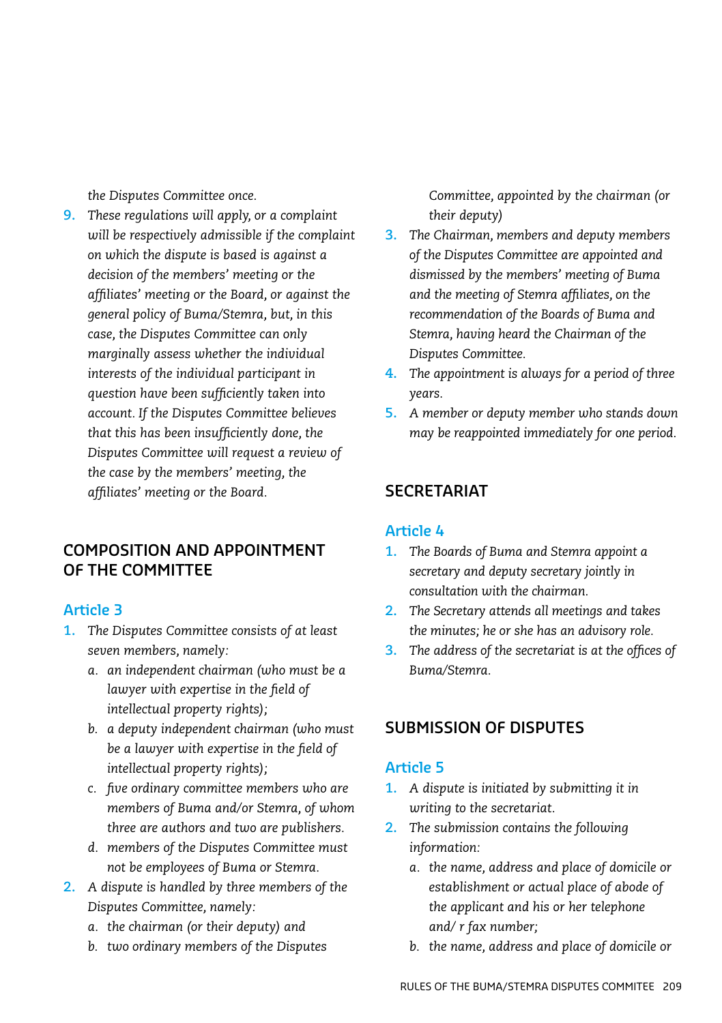*the Disputes Committee once.*

**9.** *These regulations will apply, or a complaint will be respectively admissible if the complaint on which the dispute is based is against a decision of the members' meeting or the affiliates' meeting or the Board, or against the general policy of Buma/Stemra, but, in this case, the Disputes Committee can only marginally assess whether the individual interests of the individual participant in question have been sufficiently taken into account. If the Disputes Committee believes that this has been insufficiently done, the Disputes Committee will request a review of the case by the members' meeting, the affiliates' meeting or the Board.*

## **COMPOSITION AND APPOINTMENT OF THE COMMITTEE**

## **Article 3**

- **1.** *The Disputes Committee consists of at least seven members, namely:*
	- *a. an independent chairman (who must be a lawyer with expertise in the field of intellectual property rights);*
	- *b. a deputy independent chairman (who must be a lawyer with expertise in the field of intellectual property rights);*
	- *c. five ordinary committee members who are members of Buma and/or Stemra, of whom three are authors and two are publishers.*
	- *d. members of the Disputes Committee must not be employees of Buma or Stemra.*
- **2.** *A dispute is handled by three members of the Disputes Committee, namely:*
	- *a. the chairman (or their deputy) and*
	- *b. two ordinary members of the Disputes*

*Committee, appointed by the chairman (or their deputy)*

- **3.** *The Chairman, members and deputy members of the Disputes Committee are appointed and dismissed by the members' meeting of Buma and the meeting of Stemra affiliates, on the recommendation of the Boards of Buma and Stemra, having heard the Chairman of the Disputes Committee.*
- **4.** *The appointment is always for a period of three years.*
- **5.** *A member or deputy member who stands down may be reappointed immediately for one period.*

## **SECRETARIAT**

#### **Article 4**

- **1.** *The Boards of Buma and Stemra appoint a secretary and deputy secretary jointly in consultation with the chairman.*
- **2.** *The Secretary attends all meetings and takes the minutes; he or she has an advisory role.*
- **3.** *The address of the secretariat is at the offices of Buma/Stemra.*

## **SUBMISSION OF DISPUTES**

- **1.** *A dispute is initiated by submitting it in writing to the secretariat.*
- **2.** *The submission contains the following information:*
	- *a. the name, address and place of domicile or establishment or actual place of abode of the applicant and his or her telephone and/ r fax number;*
	- *b. the name, address and place of domicile or*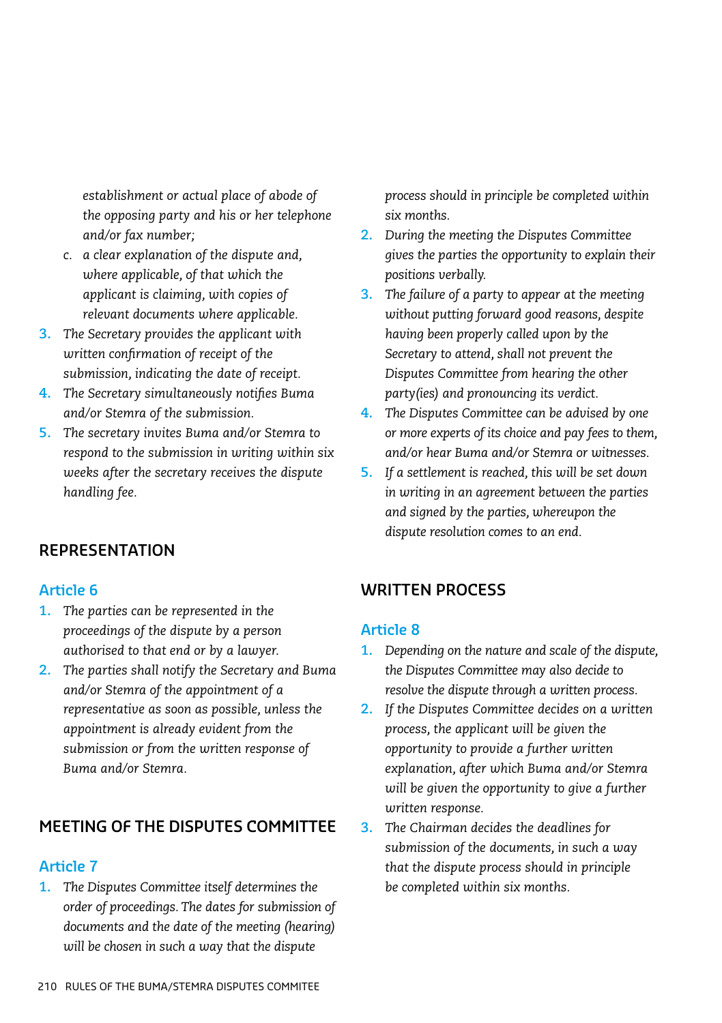*establishment or actual place of abode of the opposing party and his or her telephone and/or fax number;*

- *c. a clear explanation of the dispute and, where applicable, of that which the applicant is claiming, with copies of relevant documents where applicable.*
- **3.** *The Secretary provides the applicant with written confirmation of receipt of the submission, indicating the date of receipt.*
- **4.** *The Secretary simultaneously notifies Buma and/or Stemra of the submission.*
- **5.** *The secretary invites Buma and/or Stemra to respond to the submission in writing within six weeks after the secretary receives the dispute handling fee.*

## **REPRESENTATION**

#### **Article 6**

- **1.** *The parties can be represented in the proceedings of the dispute by a person authorised to that end or by a lawyer.*
- **2.** *The parties shall notify the Secretary and Buma and/or Stemra of the appointment of a representative as soon as possible, unless the appointment is already evident from the submission or from the written response of Buma and/or Stemra.*

## **MEETING OF THE DISPUTES COMMITTEE**

#### **Article 7**

**1.** *The Disputes Committee itself determines the order of proceedings. The dates for submission of documents and the date of the meeting (hearing) will be chosen in such a way that the dispute* 

*process should in principle be completed within six months.*

- **2.** *During the meeting the Disputes Committee gives the parties the opportunity to explain their positions verbally.*
- **3.** *The failure of a party to appear at the meeting without putting forward good reasons, despite having been properly called upon by the Secretary to attend, shall not prevent the Disputes Committee from hearing the other party(ies) and pronouncing its verdict.*
- **4.** *The Disputes Committee can be advised by one or more experts of its choice and pay fees to them, and/or hear Buma and/or Stemra or witnesses.*
- **5.** *If a settlement is reached, this will be set down in writing in an agreement between the parties and signed by the parties, whereupon the dispute resolution comes to an end.*

## **WRITTEN PROCESS**

- **1.** *Depending on the nature and scale of the dispute, the Disputes Committee may also decide to resolve the dispute through a written process.*
- **2.** *If the Disputes Committee decides on a written process, the applicant will be given the opportunity to provide a further written explanation, after which Buma and/or Stemra will be given the opportunity to give a further written response.*
- **3.** *The Chairman decides the deadlines for submission of the documents, in such a way that the dispute process should in principle be completed within six months.*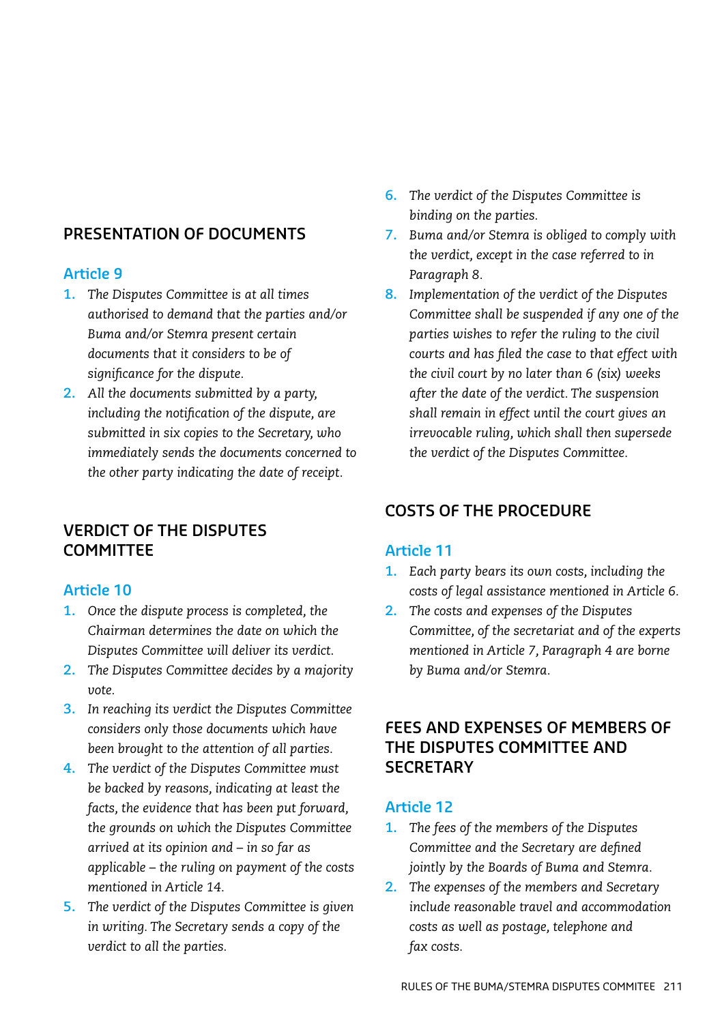## **PRESENTATION OF DOCUMENTS**

## **Article 9**

- **1.** *The Disputes Committee is at all times authorised to demand that the parties and/or Buma and/or Stemra present certain documents that it considers to be of significance for the dispute.*
- **2.** *All the documents submitted by a party, including the notification of the dispute, are submitted in six copies to the Secretary, who immediately sends the documents concerned to the other party indicating the date of receipt.*

## **VERDICT OF THE DISPUTES COMMITTEE**

## **Article 10**

- **1.** *Once the dispute process is completed, the Chairman determines the date on which the Disputes Committee will deliver its verdict.*
- **2.** *The Disputes Committee decides by a majority vote.*
- **3.** *In reaching its verdict the Disputes Committee considers only those documents which have been brought to the attention of all parties.*
- **4.** *The verdict of the Disputes Committee must be backed by reasons, indicating at least the facts, the evidence that has been put forward, the grounds on which the Disputes Committee arrived at its opinion and – in so far as applicable – the ruling on payment of the costs mentioned in Article 14.*
- **5.** *The verdict of the Disputes Committee is given in writing. The Secretary sends a copy of the verdict to all the parties.*
- **6.** *The verdict of the Disputes Committee is binding on the parties.*
- **7.** *Buma and/or Stemra is obliged to comply with the verdict, except in the case referred to in Paragraph 8.*
- **8.** *Implementation of the verdict of the Disputes Committee shall be suspended if any one of the parties wishes to refer the ruling to the civil courts and has filed the case to that effect with the civil court by no later than 6 (six) weeks after the date of the verdict. The suspension shall remain in effect until the court gives an irrevocable ruling, which shall then supersede the verdict of the Disputes Committee.*

## **COSTS OF THE PROCEDURE**

## **Article 11**

- **1.** *Each party bears its own costs, including the costs of legal assistance mentioned in Article 6.*
- **2.** *The costs and expenses of the Disputes Committee, of the secretariat and of the experts mentioned in Article 7, Paragraph 4 are borne by Buma and/or Stemra.*

## **FEES AND EXPENSES OF MEMBERS OF THE DISPUTES COMMITTEE AND SECRETARY**

- **1.** *The fees of the members of the Disputes Committee and the Secretary are defined jointly by the Boards of Buma and Stemra.*
- **2.** *The expenses of the members and Secretary include reasonable travel and accommodation costs as well as postage, telephone and fax costs.*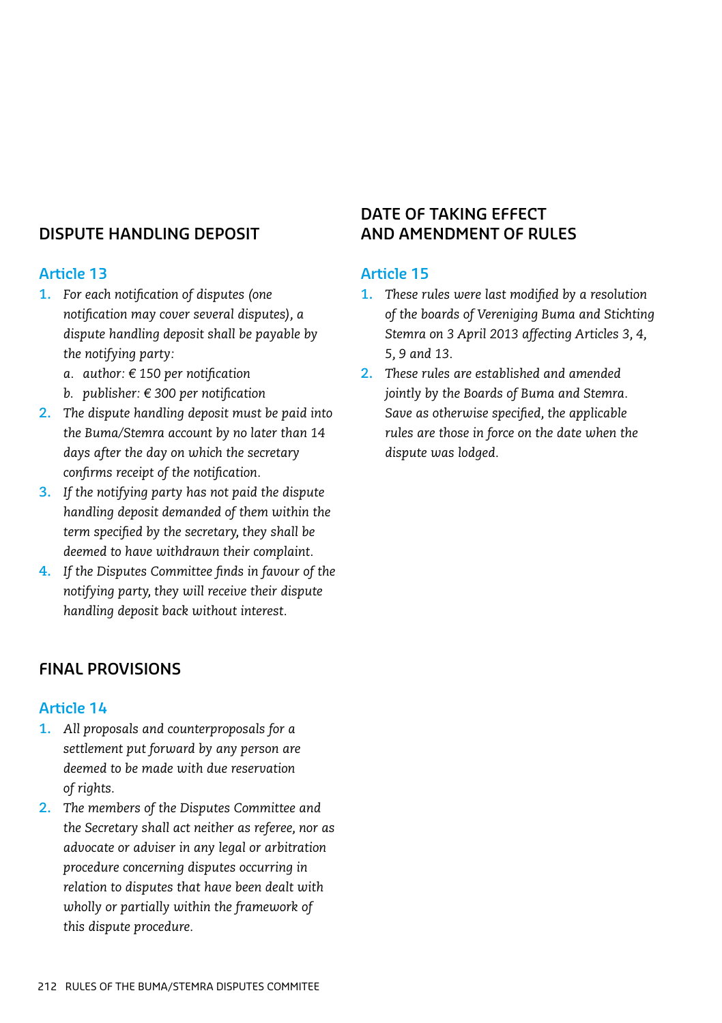## **DISPUTE HANDLING DEPOSIT**

## **Article 13**

- **1.** *For each notification of disputes (one notification may cover several disputes), a dispute handling deposit shall be payable by the notifying party:*
	- *a. author: € 150 per notification*
	- *b. publisher: € 300 per notification*
- **2.** *The dispute handling deposit must be paid into the Buma/Stemra account by no later than 14 days after the day on which the secretary confirms receipt of the notification.*
- **3.** *If the notifying party has not paid the dispute handling deposit demanded of them within the term specified by the secretary, they shall be deemed to have withdrawn their complaint.*
- **4.** *If the Disputes Committee finds in favour of the notifying party, they will receive their dispute handling deposit back without interest.*

## **FINAL PROVISIONS**

#### **Article 14**

- **1.** *All proposals and counterproposals for a settlement put forward by any person are deemed to be made with due reservation of rights.*
- **2.** *The members of the Disputes Committee and the Secretary shall act neither as referee, nor as advocate or adviser in any legal or arbitration procedure concerning disputes occurring in relation to disputes that have been dealt with wholly or partially within the framework of this dispute procedure.*

## **DATE OF TAKING EFFECT AND AMENDMENT OF RULES**

- **1.** *These rules were last modified by a resolution of the boards of Vereniging Buma and Stichting Stemra on 3 April 2013 affecting Articles 3, 4, 5, 9 and 13.*
- **2.** *These rules are established and amended jointly by the Boards of Buma and Stemra. Save as otherwise specified, the applicable rules are those in force on the date when the dispute was lodged.*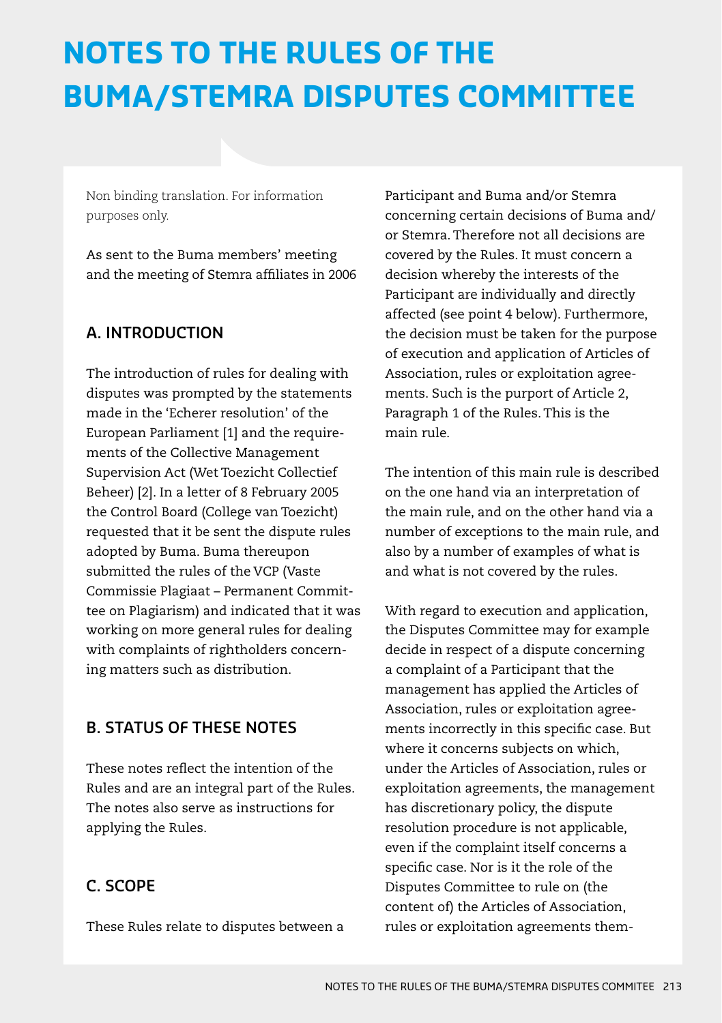# **NOTES TO THE RULES OF THE BUMA/STEMRA DISPUTES COMMITTEE**

Non binding translation. For information purposes only.

As sent to the Buma members' meeting and the meeting of Stemra affiliates in 2006

## **A. INTRODUCTION**

The introduction of rules for dealing with disputes was prompted by the statements made in the 'Echerer resolution' of the European Parliament [1] and the requirements of the Collective Management Supervision Act (Wet Toezicht Collectief Beheer) [2]. In a letter of 8 February 2005 the Control Board (College van Toezicht) requested that it be sent the dispute rules adopted by Buma. Buma thereupon submitted the rules of the VCP (Vaste Commissie Plagiaat – Permanent Committee on Plagiarism) and indicated that it was working on more general rules for dealing with complaints of rightholders concerning matters such as distribution.

## **B. STATUS OF THESE NOTES**

These notes reflect the intention of the Rules and are an integral part of the Rules. The notes also serve as instructions for applying the Rules.

# **C. SCOPE**

These Rules relate to disputes between a

Participant and Buma and/or Stemra concerning certain decisions of Buma and/ or Stemra. Therefore not all decisions are covered by the Rules. It must concern a decision whereby the interests of the Participant are individually and directly affected (see point 4 below). Furthermore, the decision must be taken for the purpose of execution and application of Articles of Association, rules or exploitation agreements. Such is the purport of Article 2, Paragraph 1 of the Rules. This is the main rule.

The intention of this main rule is described on the one hand via an interpretation of the main rule, and on the other hand via a number of exceptions to the main rule, and also by a number of examples of what is and what is not covered by the rules.

With regard to execution and application, the Disputes Committee may for example decide in respect of a dispute concerning a complaint of a Participant that the management has applied the Articles of Association, rules or exploitation agreements incorrectly in this specific case. But where it concerns subjects on which, under the Articles of Association, rules or exploitation agreements, the management has discretionary policy, the dispute resolution procedure is not applicable, even if the complaint itself concerns a specific case. Nor is it the role of the Disputes Committee to rule on (the content of) the Articles of Association, rules or exploitation agreements them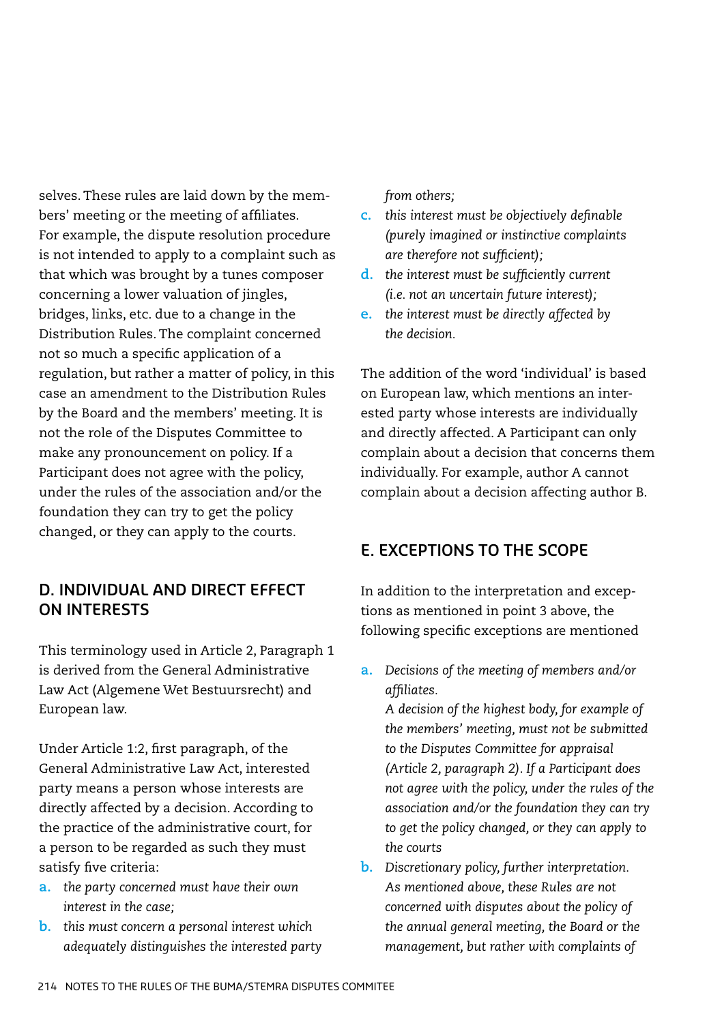selves. These rules are laid down by the members' meeting or the meeting of affiliates. For example, the dispute resolution procedure is not intended to apply to a complaint such as that which was brought by a tunes composer concerning a lower valuation of jingles, bridges, links, etc. due to a change in the Distribution Rules. The complaint concerned not so much a specific application of a regulation, but rather a matter of policy, in this case an amendment to the Distribution Rules by the Board and the members' meeting. It is not the role of the Disputes Committee to make any pronouncement on policy. If a Participant does not agree with the policy, under the rules of the association and/or the foundation they can try to get the policy changed, or they can apply to the courts.

## **D. INDIVIDUAL AND DIRECT EFFECT ON INTERESTS**

This terminology used in Article 2, Paragraph 1 is derived from the General Administrative Law Act (Algemene Wet Bestuursrecht) and European law.

Under Article 1:2, first paragraph, of the General Administrative Law Act, interested party means a person whose interests are directly affected by a decision. According to the practice of the administrative court, for a person to be regarded as such they must satisfy five criteria:

- **a.** *the party concerned must have their own interest in the case;*
- **b.** *this must concern a personal interest which adequately distinguishes the interested party*

*from others;*

- **c.** *this interest must be objectively definable (purely imagined or instinctive complaints are therefore not sufficient);*
- **d.** *the interest must be sufficiently current (i.e. not an uncertain future interest);*
- **e.** *the interest must be directly affected by the decision.*

The addition of the word 'individual' is based on European law, which mentions an interested party whose interests are individually and directly affected. A Participant can only complain about a decision that concerns them individually. For example, author A cannot complain about a decision affecting author B.

## **E. EXCEPTIONS TO THE SCOPE**

In addition to the interpretation and exceptions as mentioned in point 3 above, the following specific exceptions are mentioned

**a.** *Decisions of the meeting of members and/or affiliates.* 

*A decision of the highest body, for example of the members' meeting, must not be submitted to the Disputes Committee for appraisal (Article 2, paragraph 2). If a Participant does not agree with the policy, under the rules of the association and/or the foundation they can try to get the policy changed, or they can apply to the courts*

**b.** *Discretionary policy, further interpretation. As mentioned above, these Rules are not concerned with disputes about the policy of the annual general meeting, the Board or the management, but rather with complaints of*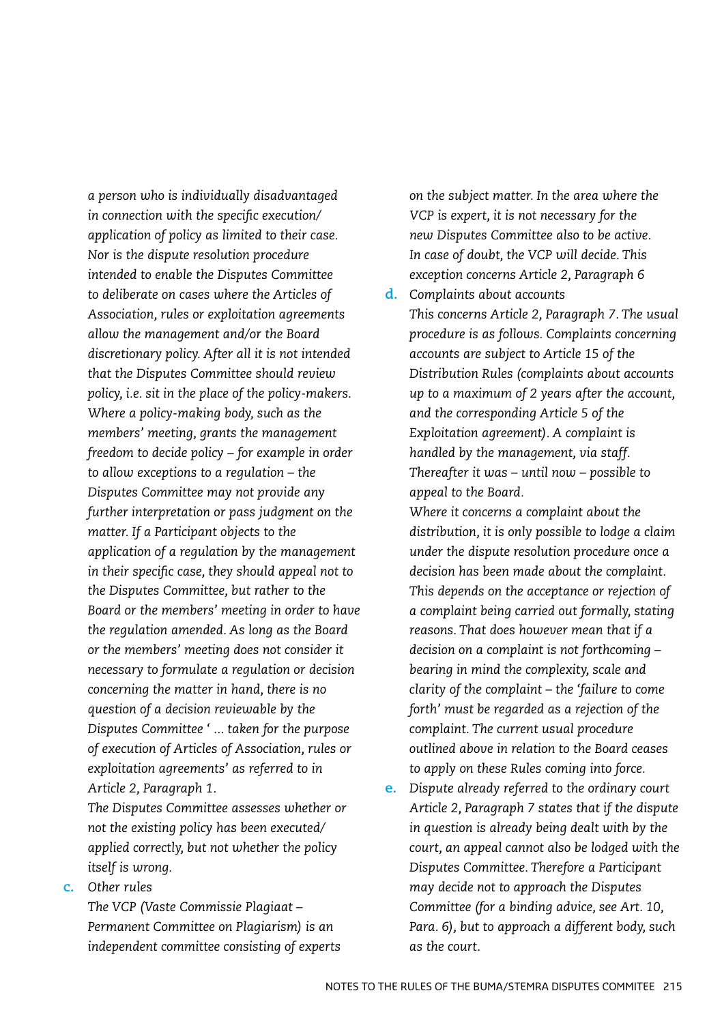*a person who is individually disadvantaged in connection with the specific execution/ application of policy as limited to their case. Nor is the dispute resolution procedure intended to enable the Disputes Committee to deliberate on cases where the Articles of Association, rules or exploitation agreements allow the management and/or the Board discretionary policy. After all it is not intended that the Disputes Committee should review policy, i.e. sit in the place of the policy-makers. Where a policy-making body, such as the members' meeting, grants the management freedom to decide policy – for example in order to allow exceptions to a regulation – the Disputes Committee may not provide any further interpretation or pass judgment on the matter. If a Participant objects to the application of a regulation by the management in their specific case, they should appeal not to the Disputes Committee, but rather to the Board or the members' meeting in order to have the regulation amended. As long as the Board or the members' meeting does not consider it necessary to formulate a regulation or decision concerning the matter in hand, there is no question of a decision reviewable by the Disputes Committee ' ... taken for the purpose of execution of Articles of Association, rules or exploitation agreements' as referred to in Article 2, Paragraph 1.* 

*The Disputes Committee assesses whether or not the existing policy has been executed/ applied correctly, but not whether the policy itself is wrong.*

**c.** *Other rules*

*The VCP (Vaste Commissie Plagiaat – Permanent Committee on Plagiarism) is an independent committee consisting of experts*  *on the subject matter. In the area where the VCP is expert, it is not necessary for the new Disputes Committee also to be active. In case of doubt, the VCP will decide. This exception concerns Article 2, Paragraph 6*

**d.** *Complaints about accounts This concerns Article 2, Paragraph 7. The usual procedure is as follows. Complaints concerning accounts are subject to Article 15 of the Distribution Rules (complaints about accounts up to a maximum of 2 years after the account, and the corresponding Article 5 of the Exploitation agreement). A complaint is handled by the management, via staff. Thereafter it was – until now – possible to appeal to the Board.* 

*Where it concerns a complaint about the distribution, it is only possible to lodge a claim under the dispute resolution procedure once a decision has been made about the complaint. This depends on the acceptance or rejection of a complaint being carried out formally, stating reasons. That does however mean that if a decision on a complaint is not forthcoming – bearing in mind the complexity, scale and clarity of the complaint – the 'failure to come forth' must be regarded as a rejection of the complaint. The current usual procedure outlined above in relation to the Board ceases to apply on these Rules coming into force.*

**e.** *Dispute already referred to the ordinary court Article 2, Paragraph 7 states that if the dispute in question is already being dealt with by the court, an appeal cannot also be lodged with the Disputes Committee. Therefore a Participant may decide not to approach the Disputes Committee (for a binding advice, see Art. 10, Para. 6), but to approach a different body, such as the court.*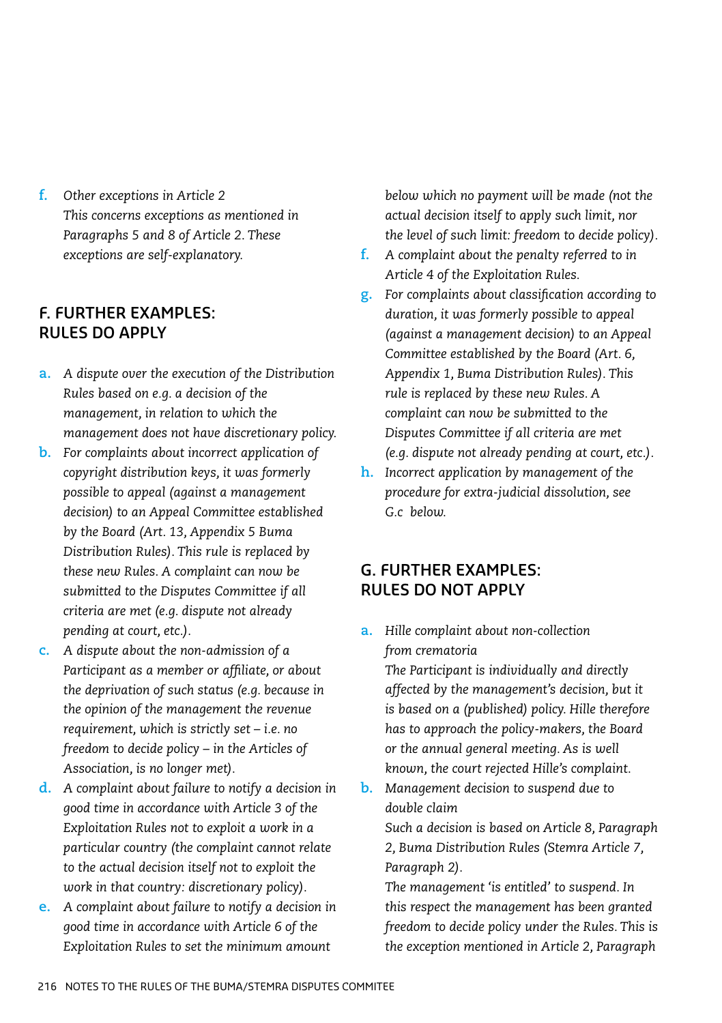**f.** *Other exceptions in Article 2 This concerns exceptions as mentioned in Paragraphs 5 and 8 of Article 2. These exceptions are self-explanatory.*

## **F. FURTHER EXAMPLES: RULES DO APPLY**

- **a.** *A dispute over the execution of the Distribution Rules based on e.g. a decision of the management, in relation to which the management does not have discretionary policy.*
- **b.** *For complaints about incorrect application of copyright distribution keys, it was formerly possible to appeal (against a management decision) to an Appeal Committee established by the Board (Art. 13, Appendix 5 Buma Distribution Rules). This rule is replaced by these new Rules. A complaint can now be submitted to the Disputes Committee if all criteria are met (e.g. dispute not already pending at court, etc.).*
- **c.** *A dispute about the non-admission of a Participant as a member or affiliate, or about the deprivation of such status (e.g. because in the opinion of the management the revenue requirement, which is strictly set – i.e. no freedom to decide policy – in the Articles of Association, is no longer met).*
- **d.** *A complaint about failure to notify a decision in good time in accordance with Article 3 of the Exploitation Rules not to exploit a work in a particular country (the complaint cannot relate to the actual decision itself not to exploit the work in that country: discretionary policy).*
- **e.** *A complaint about failure to notify a decision in good time in accordance with Article 6 of the Exploitation Rules to set the minimum amount*

*below which no payment will be made (not the actual decision itself to apply such limit, nor the level of such limit: freedom to decide policy).*

- **f.** *A complaint about the penalty referred to in Article 4 of the Exploitation Rules.*
- **g.** *For complaints about classification according to duration, it was formerly possible to appeal (against a management decision) to an Appeal Committee established by the Board (Art. 6, Appendix 1, Buma Distribution Rules). This rule is replaced by these new Rules. A complaint can now be submitted to the Disputes Committee if all criteria are met (e.g. dispute not already pending at court, etc.).*
- **h.** *Incorrect application by management of the procedure for extra-judicial dissolution, see G.c below.*

## **G. FURTHER EXAMPLES: RULES DO NOT APPLY**

**a.** *Hille complaint about non-collection from crematoria* 

*The Participant is individually and directly affected by the management's decision, but it is based on a (published) policy. Hille therefore has to approach the policy-makers, the Board or the annual general meeting. As is well known, the court rejected Hille's complaint.*

**b.** *Management decision to suspend due to double claim* 

*Such a decision is based on Article 8, Paragraph 2, Buma Distribution Rules (Stemra Article 7, Paragraph 2).* 

*The management 'is entitled' to suspend. In this respect the management has been granted freedom to decide policy under the Rules. This is the exception mentioned in Article 2, Paragraph*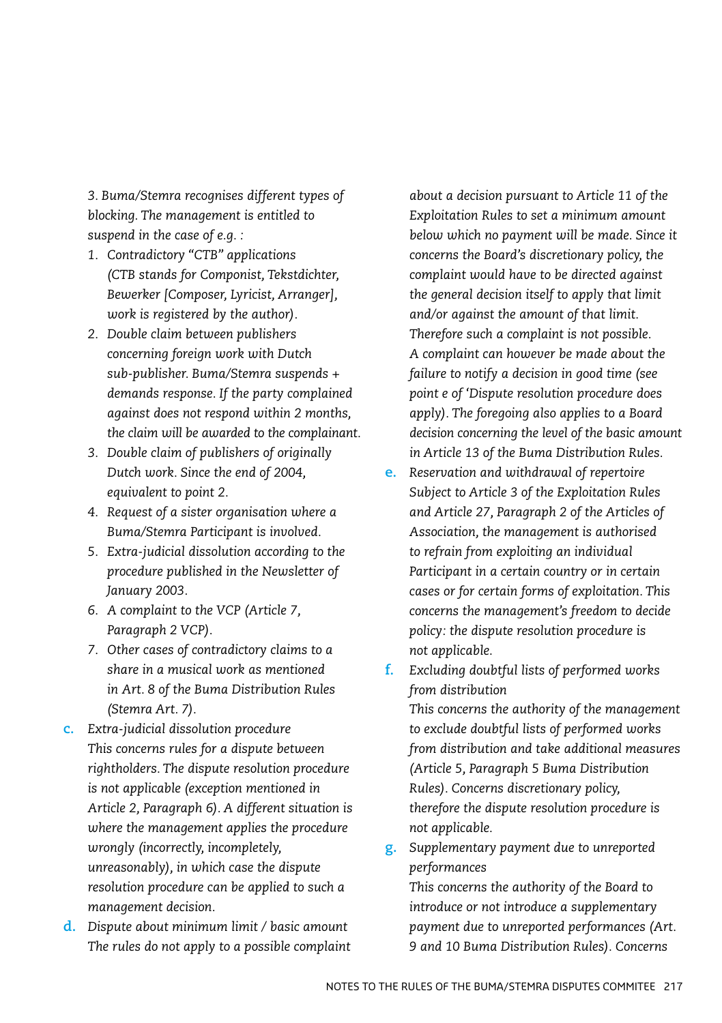*3. Buma/Stemra recognises different types of blocking. The management is entitled to suspend in the case of e.g. :*

- *1. Contradictory "CTB" applications (CTB stands for Componist, Tekstdichter, Bewerker [Composer, Lyricist, Arranger], work is registered by the author).*
- *2. Double claim between publishers concerning foreign work with Dutch sub-publisher. Buma/Stemra suspends + demands response. If the party complained against does not respond within 2 months, the claim will be awarded to the complainant.*
- *3. Double claim of publishers of originally Dutch work. Since the end of 2004, equivalent to point 2.*
- *4. Request of a sister organisation where a Buma/Stemra Participant is involved.*
- *5. Extra-judicial dissolution according to the procedure published in the Newsletter of January 2003.*
- *6. A complaint to the VCP (Article 7, Paragraph 2 VCP).*
- *7. Other cases of contradictory claims to a share in a musical work as mentioned in Art. 8 of the Buma Distribution Rules (Stemra Art. 7).*
- **c.** *Extra-judicial dissolution procedure This concerns rules for a dispute between rightholders. The dispute resolution procedure is not applicable (exception mentioned in Article 2, Paragraph 6). A different situation is where the management applies the procedure wrongly (incorrectly, incompletely, unreasonably), in which case the dispute resolution procedure can be applied to such a management decision.*
- **d.** *Dispute about minimum limit / basic amount The rules do not apply to a possible complaint*

*about a decision pursuant to Article 11 of the Exploitation Rules to set a minimum amount below which no payment will be made. Since it concerns the Board's discretionary policy, the complaint would have to be directed against the general decision itself to apply that limit and/or against the amount of that limit. Therefore such a complaint is not possible. A complaint can however be made about the failure to notify a decision in good time (see point e of 'Dispute resolution procedure does apply). The foregoing also applies to a Board decision concerning the level of the basic amount in Article 13 of the Buma Distribution Rules.*

- **e.** *Reservation and withdrawal of repertoire Subject to Article 3 of the Exploitation Rules and Article 27, Paragraph 2 of the Articles of Association, the management is authorised to refrain from exploiting an individual Participant in a certain country or in certain cases or for certain forms of exploitation. This concerns the management's freedom to decide policy: the dispute resolution procedure is not applicable.*
- **f.** *Excluding doubtful lists of performed works from distribution*

*This concerns the authority of the management to exclude doubtful lists of performed works from distribution and take additional measures (Article 5, Paragraph 5 Buma Distribution Rules). Concerns discretionary policy, therefore the dispute resolution procedure is not applicable.*

**g.** *Supplementary payment due to unreported performances* 

*This concerns the authority of the Board to introduce or not introduce a supplementary payment due to unreported performances (Art. 9 and 10 Buma Distribution Rules). Concerns*